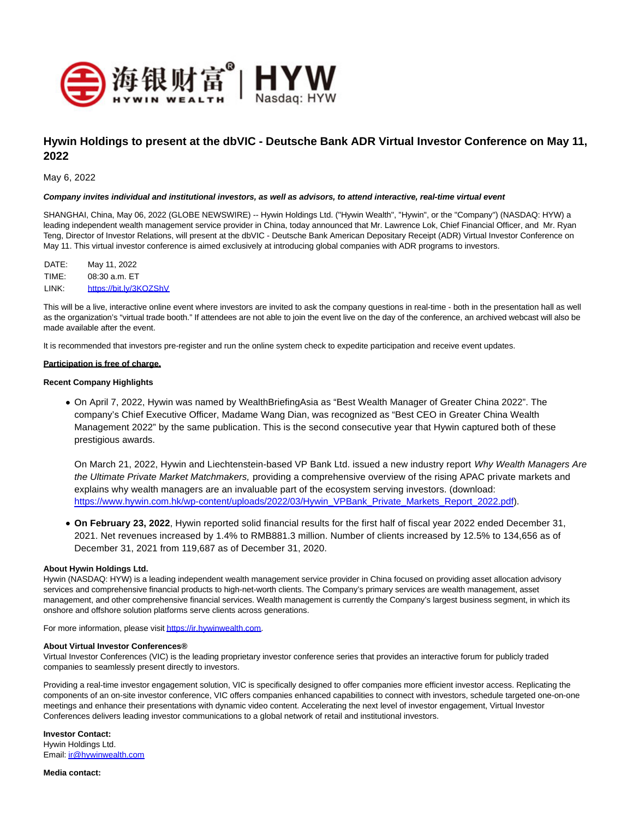

# **Hywin Holdings to present at the dbVIC - Deutsche Bank ADR Virtual Investor Conference on May 11, 2022**

May 6, 2022

#### **Company invites individual and institutional investors, as well as advisors, to attend interactive, real-time virtual event**

SHANGHAI, China, May 06, 2022 (GLOBE NEWSWIRE) -- Hywin Holdings Ltd. ("Hywin Wealth", "Hywin", or the "Company") (NASDAQ: HYW) a leading independent wealth management service provider in China, today announced that Mr. Lawrence Lok, Chief Financial Officer, and Mr. Ryan Teng, Director of Investor Relations, will present at the dbVIC - Deutsche Bank American Depositary Receipt (ADR) Virtual Investor Conference on May 11. This virtual investor conference is aimed exclusively at introducing global companies with ADR programs to investors.

| DATE: | May 11, 2022           |
|-------|------------------------|
| TIME: | $08:30$ a.m. $ET$      |
| LINK: | https://bit.lv/3KOZShV |

This will be a live, interactive online event where investors are invited to ask the company questions in real-time - both in the presentation hall as well as the organization's "virtual trade booth." If attendees are not able to join the event live on the day of the conference, an archived webcast will also be made available after the event.

It is recommended that investors pre-register and run the online system check to expedite participation and receive event updates.

#### **Participation is free of charge.**

#### **Recent Company Highlights**

On April 7, 2022, Hywin was named by WealthBriefingAsia as "Best Wealth Manager of Greater China 2022". The company's Chief Executive Officer, Madame Wang Dian, was recognized as "Best CEO in Greater China Wealth Management 2022" by the same publication. This is the second consecutive year that Hywin captured both of these prestigious awards.

On March 21, 2022, Hywin and Liechtenstein-based VP Bank Ltd. issued a new industry report Why Wealth Managers Are the Ultimate Private Market Matchmakers, providing a comprehensive overview of the rising APAC private markets and explains why wealth managers are an invaluable part of the ecosystem serving investors. (download: [https://www.hywin.com.hk/wp-content/uploads/2022/03/Hywin\\_VPBank\\_Private\\_Markets\\_Report\\_2022.pdf\).](https://www.hywin.com.hk/wp-content/uploads/2022/03/Hywin_VPBank_Private_Markets_Report_2022.pdf)

**On February 23, 2022**, Hywin reported solid financial results for the first half of fiscal year 2022 ended December 31, 2021. Net revenues increased by 1.4% to RMB881.3 million. Number of clients increased by 12.5% to 134,656 as of December 31, 2021 from 119,687 as of December 31, 2020.

### **About Hywin Holdings Ltd.**

Hywin (NASDAQ: HYW) is a leading independent wealth management service provider in China focused on providing asset allocation advisory services and comprehensive financial products to high-net-worth clients. The Company's primary services are wealth management, asset management, and other comprehensive financial services. Wealth management is currently the Company's largest business segment, in which its onshore and offshore solution platforms serve clients across generations.

For more information, please visi[t https://ir.hywinwealth.com.](https://www.globenewswire.com/Tracker?data=YaP0jZPeviu0beerKm2mWgXOfQV3YPu2bUKXLowagXU5A3EtQ20DomUBtFmbKQJMWgMlFEJMJ5_XPhSMvfqZNUTIBuVf0Gyuqo9QPpry8JQ=)

#### **About Virtual Investor Conferences®**

Virtual Investor Conferences (VIC) is the leading proprietary investor conference series that provides an interactive forum for publicly traded companies to seamlessly present directly to investors.

Providing a real-time investor engagement solution, VIC is specifically designed to offer companies more efficient investor access. Replicating the components of an on-site investor conference, VIC offers companies enhanced capabilities to connect with investors, schedule targeted one-on-one meetings and enhance their presentations with dynamic video content. Accelerating the next level of investor engagement, Virtual Investor Conferences delivers leading investor communications to a global network of retail and institutional investors.

**Investor Contact:** Hywin Holdings Ltd. Email[: ir@hywinwealth.com](https://www.globenewswire.com/Tracker?data=9V0hjJ_Js-UNzc-QB89Q0boYSVF90ZUIk6GX1ICpqej5hv9wZ4c5bRDMZXTKznQZW9Knq4iT9zGoELyi4ZHj8zCqdjecG-ZXrGrIlerVzvA=)

**Media contact:**